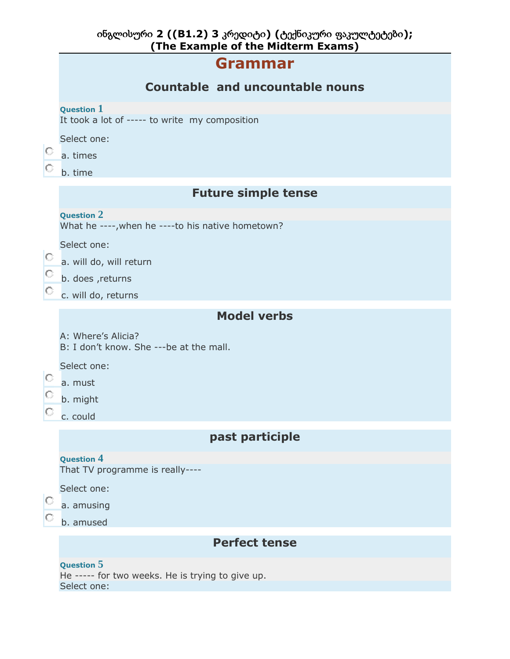|         | ინგლისური 2 ((B1.2) 3 კრედიტი) (ტექნიკური ფაკულტეტები);<br>(The Example of the Midterm Exams) |
|---------|-----------------------------------------------------------------------------------------------|
|         | <b>Grammar</b>                                                                                |
|         | <b>Countable and uncountable nouns</b>                                                        |
|         | <b>Question 1</b><br>It took a lot of ----- to write my composition                           |
| O       | Select one:<br>a. times                                                                       |
| O       | b. time                                                                                       |
|         | <b>Future simple tense</b>                                                                    |
|         | <b>Question 2</b><br>What he ----, when he ---- to his native hometown?                       |
|         | Select one:                                                                                   |
| O.      | a. will do, will return                                                                       |
| $\circ$ | b. does , returns                                                                             |
|         | c. will do, returns                                                                           |
|         | <b>Model verbs</b>                                                                            |
|         | A: Where's Alicia?<br>B: I don't know. She ---be at the mall.                                 |
|         | Select one:                                                                                   |
| O       | a. must                                                                                       |
| O.      | b. might                                                                                      |
|         | c. could                                                                                      |
|         | past participle                                                                               |
|         | <b>Question 4</b><br>That TV programme is really----                                          |
|         | Select one:                                                                                   |
|         | a. amusing                                                                                    |
|         | b. amused                                                                                     |
|         | <b>Perfect tense</b>                                                                          |
|         | Question 5<br>He ----- for two weeks. He is trying to give up.<br>Select one:                 |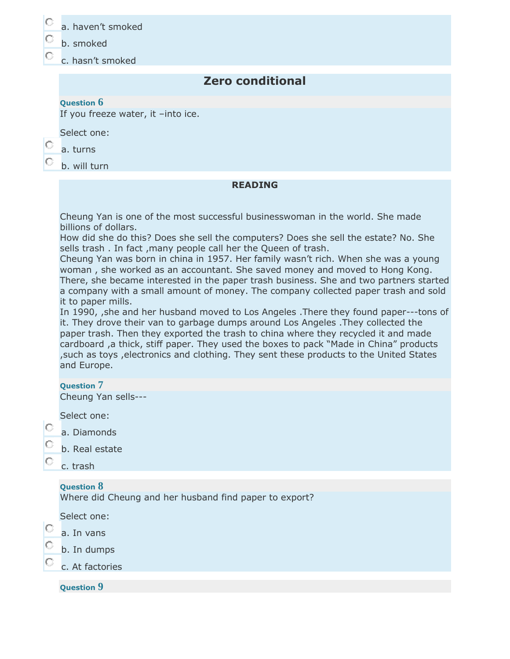| a. haven't smoked |  |
|-------------------|--|
|-------------------|--|

- b. smoked
- c. hasn't smoked

# **Zero conditional**

### **Question 6**

If you freeze water, it –into ice.

Select one:

#### О a. turns

b. will turn

#### **READING**

Cheung Yan is one of the most successful businesswoman in the world. She made billions of dollars.

How did she do this? Does she sell the computers? Does she sell the estate? No. She sells trash . In fact ,many people call her the Queen of trash.

Cheung Yan was born in china in 1957. Her family wasn't rich. When she was a young woman , she worked as an accountant. She saved money and moved to Hong Kong. There, she became interested in the paper trash business. She and two partners started a company with a small amount of money. The company collected paper trash and sold it to paper mills.

In 1990, ,she and her husband moved to Los Angeles .There they found paper---tons of it. They drove their van to garbage dumps around Los Angeles .They collected the paper trash. Then they exported the trash to china where they recycled it and made cardboard ,a thick, stiff paper. They used the boxes to pack "Made in China" products ,such as toys ,electronics and clothing. They sent these products to the United States and Europe.

#### **Question 7**

Cheung Yan sells---

Select one:

- О a. Diamonds
	- b. Real estate
	- c. trash

## **Question 8**

Where did Cheung and her husband find paper to export?

Select one:

- О a. In vans
- О b. In dumps

c. At factories

**Question 9**